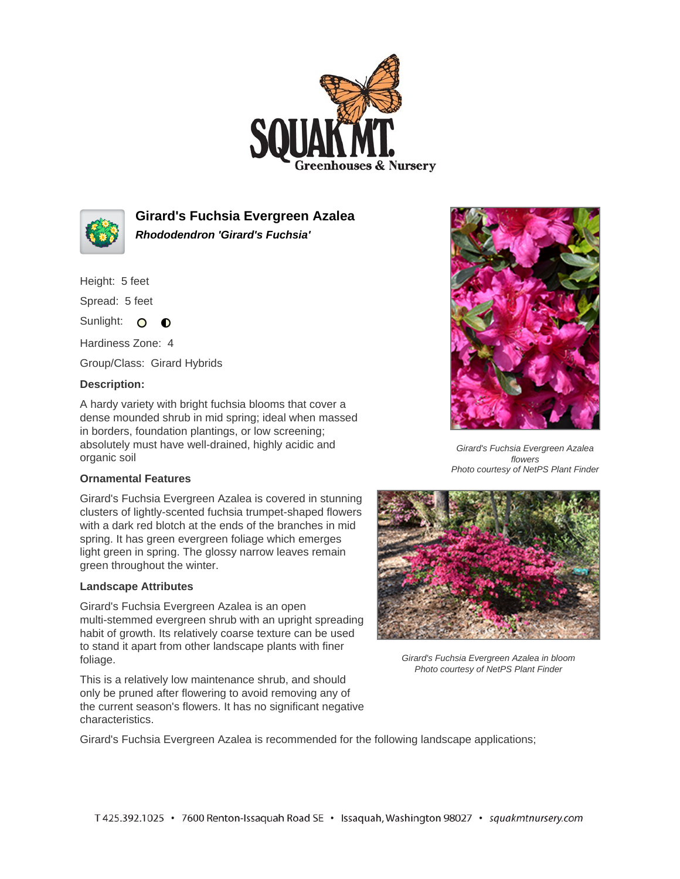



**Girard's Fuchsia Evergreen Azalea Rhododendron 'Girard's Fuchsia'**

Height: 5 feet

Spread: 5 feet

Sunlight: O O

Hardiness Zone: 4

Group/Class: Girard Hybrids

## **Description:**

A hardy variety with bright fuchsia blooms that cover a dense mounded shrub in mid spring; ideal when massed in borders, foundation plantings, or low screening; absolutely must have well-drained, highly acidic and organic soil

## **Ornamental Features**

Girard's Fuchsia Evergreen Azalea is covered in stunning clusters of lightly-scented fuchsia trumpet-shaped flowers with a dark red blotch at the ends of the branches in mid spring. It has green evergreen foliage which emerges light green in spring. The glossy narrow leaves remain green throughout the winter.

## **Landscape Attributes**

Girard's Fuchsia Evergreen Azalea is an open multi-stemmed evergreen shrub with an upright spreading habit of growth. Its relatively coarse texture can be used to stand it apart from other landscape plants with finer foliage.

This is a relatively low maintenance shrub, and should only be pruned after flowering to avoid removing any of the current season's flowers. It has no significant negative characteristics.



Girard's Fuchsia Evergreen Azalea flowers Photo courtesy of NetPS Plant Finder



Girard's Fuchsia Evergreen Azalea in bloom Photo courtesy of NetPS Plant Finder

Girard's Fuchsia Evergreen Azalea is recommended for the following landscape applications;